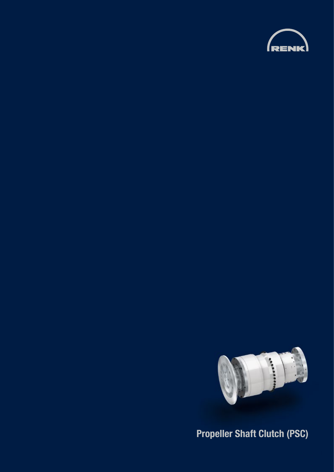



**Propeller Shaft Clutch (PSC)**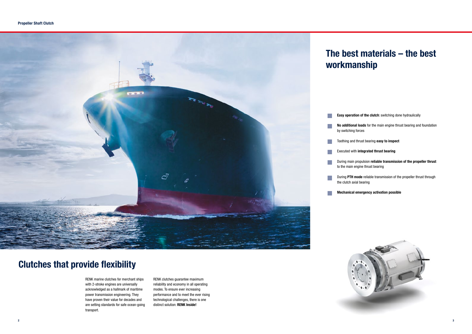### **Clutches that provide flexibility**

# **The best materials – the best**

**Easy operation of the clutch**: switching done hydraulically

**No additional loads** for the main engine thrust bearing and foundation

Toothing and thrust bearing **easy to inspect**



#### Executed with **integrated thrust bearing**

During main propulsion **reliable transmission of the propeller thrust** to the main engine thrust bearing

During **PTH mode** reliable transmission of the propeller thrust through

**Mechanical emergency activation possible**

![](_page_1_Picture_13.jpeg)

RENK marine clutches for merchant ships with 2-stroke engines are universally acknowledged as a hallmark of maritime power transmission engineering. They have proven their value for decades and are setting standards for safe ocean-going transport.

RENK clutches guarantee maximum reliability and economy in all operating modes. To ensure ever increasing performance and to meet the ever rising technological challenges, there is one distinct solution: **RENK Inside!**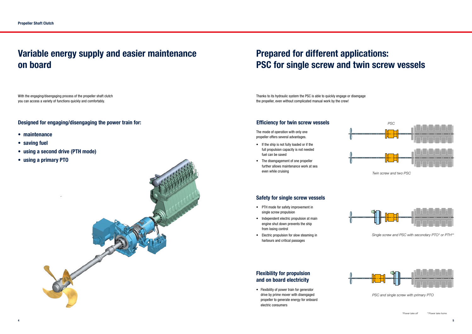Thanks to its hydraulic system the PSC is able to quickly engage or disengage the propeller, even without complicated manual work by the crew!

### **Variable energy supply and easier maintenance on board**

With the engaging/disengaging process of the propeller shaft clutch you can access a variety of functions quickly and comfortably.

#### **Designed for engaging/disengaging the power train for:**

- **maintenance**
- **saving fuel**
- **using a second drive (PTH mode)**
- **using a primary PTO**

![](_page_2_Picture_8.jpeg)

# **Prepared for different applications: PSC for single screw and twin screw vessels**

The mode of operation with only one propeller offers several advantages.

- If the ship is not fully loaded or if the full propulsion capacity is not needed fuel can be saved
- The disengagement of one propeller further allows maintenance work at sea even while cruising

#### **Safety for single screw vessels**

#### **Efficiency for twin screw vessels**

- PTH mode for safety improvement in single screw propulsion
- Independent electric propulsion at main engine shut down prevents the ship from losing control
- Electric propulsion for slow steaming in harbours and critical passages

### **Flexibility for propulsion and on board electricity**

• Flexibility of power train for generator drive by prime mover with disengaged propeller to generate energy for onboard electric consumers

![](_page_2_Figure_23.jpeg)

*Twin screw and two PSC*

![](_page_2_Figure_25.jpeg)

*Single screw and PSC with secondary PTO\* or PTH\*\**

![](_page_2_Figure_27.jpeg)

*PSC and single screw with primary PTO*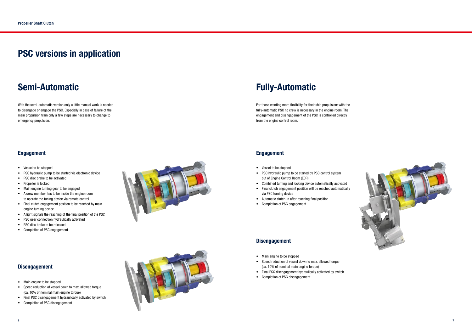![](_page_3_Picture_38.jpeg)

#### **Engagement**

### **Semi-Automatic**

### **PSC versions in application**

#### **Disengagement**

#### **Disengagement**

With the semi-automatic version only a little manual work is needed to disengage or engage the PSC. Especially in case of failure of the main propulsion train only a few steps are necessary to change to emergency propulsion.

- Vessel to be stopped
- PSC hydraulic pump to be started via electronic device
- PSC disc brake to be activated
- Propeller is locked
- Main engine turning gear to be engaged
- A crew member has to be inside the engine room to operate the tuning device via remote control
- Final clutch engagement position to be reached by main engine turning device
- A light signals the reaching of the final position of the PSC
- PSC gear connection hydraulically activated
- PSC disc brake to be released
- Completion of PSC engagement

- Main engine to be stopped
- Speed reduction of vessel down to max. allowed torque (ca. 10% of nominal main engine torque)
- Final PSC disengagement hydraulically activated by switch
- Completion of PSC disengagement

![](_page_3_Picture_21.jpeg)

![](_page_3_Picture_22.jpeg)

- Main engine to be stopped
- Speed reduction of vessel down to max. allowed torque (ca. 10% of nominal main engine torque)
- Final PSC disengagement hydraulically activated by switch
- Completion of PSC disengagement

## **Fully-Automatic**

For those wanting more flexibility for their ship propulsion: with the fully-automatic PSC no crew is necessary in the engine room. The engagement and disengagement of the PSC is controlled directly from the engine control room.

- Vessel to be stopped
- PSC hydraulic pump to be started by PSC control system out of Engine Control Room (ECR)
- Combined turning and locking device automatically activated
- Final clutch engagement position will be reached automatically via PSC turning device
- Automatic clutch-in after reaching final position
- Completion of PSC engagement

### **Engagement**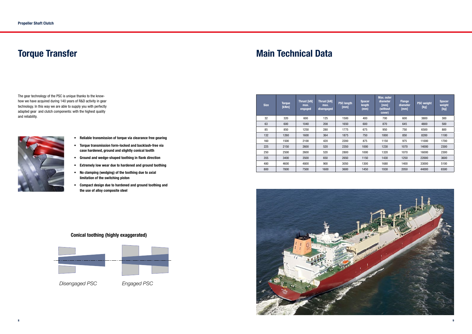### **Torque Transfer Main Technical Data**

The gear technology of the PSC is unique thanks to the knowhow we have acquired during 140 years of R&D activity in gear technology. In this way we are able to supply you with perfectly adapted gear and clutch components: with the highest quality and reliability.

![](_page_4_Picture_4.jpeg)

- **• Reliable transmission of torque via clearance free gearing**
- **• Torque transmission form-locked and backlash-free via case hardened, ground and slightly conical tootth**
- **• Ground and wedge-shaped toothing in flank direction**
- **• Extremely low wear due to hardened and ground toothing**
- **• No clamping (wedging) of the toothing due to axial limitation of the switching piston**
- **• Compact design due to hardened and ground toothing and the use of alloy composite steel**

#### **Conical toothing (highly exaggerated)**

![](_page_4_Figure_12.jpeg)

 *Disengaged PSC Engaged PSC*

| <b>Size</b> | <b>Torque</b><br>[kNm] | <b>Thrust [kN]</b><br>max.<br>engaged | <b>Thrust [kN]</b><br>max.<br>disengaged | <b>PSC length</b><br>[mm] | <b>Spacer</b><br>length<br>(mm) | Max. outer<br>diameter<br>[mm]<br>(without<br>cover) | <b>Flange</b><br>diameter<br>[mm] | <b>PSC weight</b><br>[kg] | <b>Spacer</b><br>weight<br>[kg] |
|-------------|------------------------|---------------------------------------|------------------------------------------|---------------------------|---------------------------------|------------------------------------------------------|-----------------------------------|---------------------------|---------------------------------|
| 32          | 320                    | 600                                   | 125                                      | 1500                      | 400                             | 700                                                  | 600                               | 3800                      | 300                             |
| 63          | 600                    | 1040                                  | 208                                      | 1650                      | 600                             | 870                                                  | 645                               | 4800                      | 500                             |
| 85          | 850                    | 1250                                  | 280                                      | 1775                      | 675                             | 950                                                  | 750                               | 6500                      | 800                             |
| 132         | 1260                   | 1600                                  | 364                                      | 1875                      | 750                             | 1000                                                 | 850                               | 8200                      | 1100                            |
| 160         | 1500                   | 2100                                  | 420                                      | 2200                      | 875                             | 1150                                                 | 975                               | 11000                     | 1700                            |
| 225         | 2150                   | 2600                                  | 520                                      | 2350                      | 1000                            | 1230                                                 | 1070                              | 14000                     | 2300                            |
| 250         | 2500                   | 2600                                  | 520                                      | 2800                      | 1000                            | 1320                                                 | 1070                              | 16000                     | 2300                            |
| 355         | 3400                   | 3500                                  | 650                                      | 2650                      | 1150                            | 1430                                                 | 1250                              | 22000                     | 3600                            |
| 480         | 4600                   | 4800                                  | 900                                      | 3050                      | 1300                            | 1680                                                 | 1400                              | 33000                     | 5100                            |
| 800         | 7800                   | 7500                                  | 1600                                     | 3600                      | 1450                            | 1930                                                 | 2050                              | 44000                     | 6500                            |

![](_page_4_Picture_16.jpeg)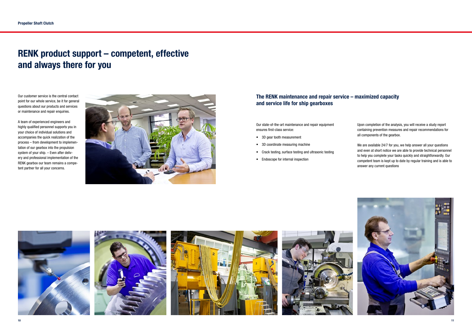### **RENK product support – competent, effective and always there for you**

Our customer service is the central contact point for our whole service, be it for general questions about our products and services or maintenance and repair enquiries.

A team of experienced engineers and highly qualified personnel supports you in your choice of individual solutions and accompanies the quick realization of the process – from development to implementation of our gearbox into the propulsion system of your ship. – Even after delivery and professional implementation of the RENK gearbox our team remains a competent partner for all your concerns.

![](_page_5_Picture_4.jpeg)

Our state-of-the-art maintenance and repair equipment ensures first-class service:

- 3D gear tooth measurement
- 3D coordinate measuring machine
- Crack testing, surface testing and ultrasonic testing
- Endoscope for internal inspection

![](_page_5_Picture_11.jpeg)

Upon completion of the analysis, you will receive a study report containing prevention measures and repair recommendations for all components of the gearbox.

We are available 24/7 for you, we help answer all your questions and even at short notice we are able to provide technical personnel to help you complete your tasks quickly and straightforwardly. Our competent team is kept up to date by regular training and is able to answer any current questions

![](_page_5_Picture_15.jpeg)

### **The RENK maintenance and repair service – maximized capacity and service life for ship gearboxes**